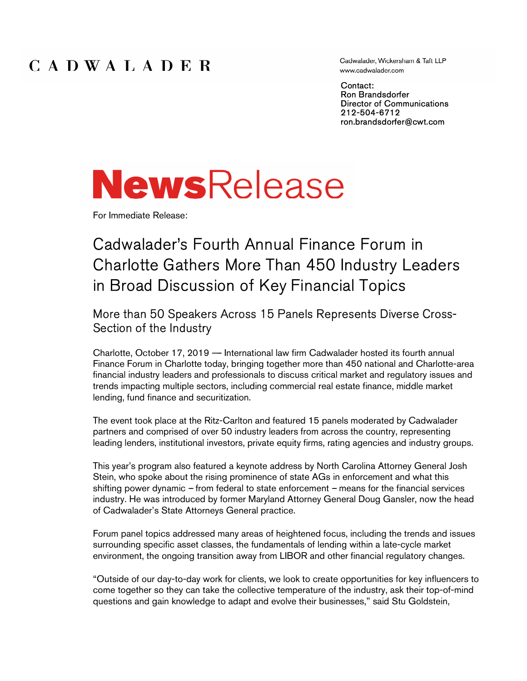## CADWALADER

Cadwalader, Wickersham & Taft LLP www.cadwalader.com

Contact: Ron Brandsdorfer Director of Communications 212-504-6712 ron.brandsdorfer@cwt.com

# **NewsRelease**

For Immediate Release:

## Cadwalader's Fourth Annual Finance Forum in Charlotte Gathers More Than 450 Industry Leaders in Broad Discussion of Key Financial Topics

### More than 50 Speakers Across 15 Panels Represents Diverse Cross-Section of the Industry

Charlotte, October 17, 2019 -- International law firm Cadwalader hosted its fourth annual Finance Forum in Charlotte today, bringing together more than 450 national and Charlotte-area financial industry leaders and professionals to discuss critical market and regulatory issues and trends impacting multiple sectors, including commercial real estate finance, middle market lending, fund finance and securitization.

The event took place at the Ritz-Carlton and featured 15 panels moderated by Cadwalader partners and comprised of over 50 industry leaders from across the country, representing leading lenders, institutional investors, private equity firms, rating agencies and industry groups.

This year's program also featured a keynote address by North Carolina Attorney General Josh Stein, who spoke about the rising prominence of state AGs in enforcement and what this shifting power dynamic  $-$  from federal to state enforcement  $-$  means for the financial services industry. He was introduced by former Maryland Attorney General Doug Gansler, now the head of Cadwalader's State Attorneys General practice.

Forum panel topics addressed many areas of heightened focus, including the trends and issues surrounding specific asset classes, the fundamentals of lending within a late-cycle market environment, the ongoing transition away from LIBOR and other financial regulatory changes.

''Outside of our day-to-day work for clients, we look to create opportunities for key influencers to come together so they can take the collective temperature of the industry, ask their top-of-mind questions and gain knowledge to adapt and evolve their businesses,'' said Stu Goldstein,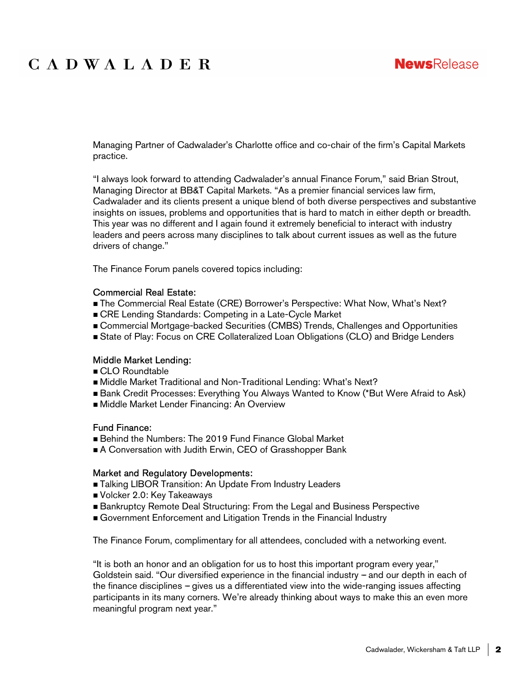## CADWALADER



Managing Partner of Cadwalader's Charlotte office and co-chair of the firm's Capital Markets practice.

''I always look forward to attending Cadwalader's annual Finance Forum,'' said Brian Strout, Managing Director at BB&T Capital Markets. ''As a premier financial services law firm, Cadwalader and its clients present a unique blend of both diverse perspectives and substantive insights on issues, problems and opportunities that is hard to match in either depth or breadth. This year was no different and I again found it extremely beneficial to interact with industry leaders and peers across many disciplines to talk about current issues as well as the future drivers of change.''

The Finance Forum panels covered topics including:

#### Commercial Real Estate:

- The Commercial Real Estate (CRE) Borrower's Perspective: What Now, What's Next?
- CRE Lending Standards: Competing in a Late-Cycle Market
- Commercial Mortgage-backed Securities (CMBS) Trends, Challenges and Opportunities
- State of Play: Focus on CRE Collateralized Loan Obligations (CLO) and Bridge Lenders

#### Middle Market Lending:

- CLO Roundtable
- Middle Market Traditional and Non-Traditional Lending: What's Next?
- Bank Credit Processes: Everything You Always Wanted to Know (\*But Were Afraid to Ask)
- Middle Market Lender Financing: An Overview

#### Fund Finance:

- Behind the Numbers: The 2019 Fund Finance Global Market
- A Conversation with Judith Erwin, CEO of Grasshopper Bank

#### Market and Regulatory Developments:

- Talking LIBOR Transition: An Update From Industry Leaders
- Volcker 2.0: Key Takeaways
- Bankruptcy Remote Deal Structuring: From the Legal and Business Perspective
- Government Enforcement and Litigation Trends in the Financial Industry

The Finance Forum, complimentary for all attendees, concluded with a networking event.

''It is both an honor and an obligation for us to host this important program every year,'' Goldstein said. "Our diversified experience in the financial industry  $-$  and our depth in each of the finance disciplines - gives us a differentiated view into the wide-ranging issues affecting participants in its many corners. We're already thinking about ways to make this an even more meaningful program next year.''